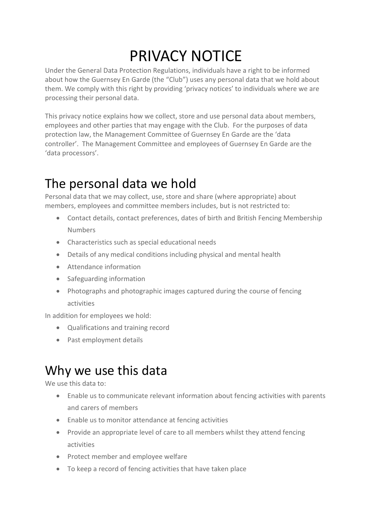# PRIVACY NOTICE

Under the General Data Protection Regulations, individuals have a right to be informed about how the Guernsey En Garde (the "Club") uses any personal data that we hold about them. We comply with this right by providing 'privacy notices' to individuals where we are processing their personal data.

This privacy notice explains how we collect, store and use personal data about members, employees and other parties that may engage with the Club. For the purposes of data protection law, the Management Committee of Guernsey En Garde are the 'data controller'. The Management Committee and employees of Guernsey En Garde are the 'data processors'.

# The personal data we hold

Personal data that we may collect, use, store and share (where appropriate) about members, employees and committee members includes, but is not restricted to:

- Contact details, contact preferences, dates of birth and British Fencing Membership Numbers
- Characteristics such as special educational needs
- Details of any medical conditions including physical and mental health
- Attendance information
- Safeguarding information
- Photographs and photographic images captured during the course of fencing activities

In addition for employees we hold:

- Qualifications and training record
- Past employment details

## Why we use this data

We use this data to:

- Enable us to communicate relevant information about fencing activities with parents and carers of members
- Enable us to monitor attendance at fencing activities
- Provide an appropriate level of care to all members whilst they attend fencing activities
- Protect member and employee welfare
- To keep a record of fencing activities that have taken place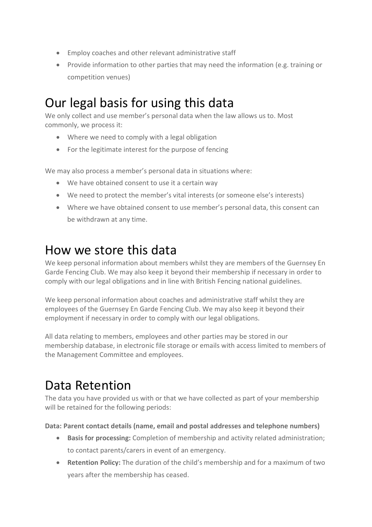- Employ coaches and other relevant administrative staff
- Provide information to other parties that may need the information (e.g. training or competition venues)

## Our legal basis for using this data

We only collect and use member's personal data when the law allows us to. Most commonly, we process it:

- Where we need to comply with a legal obligation
- For the legitimate interest for the purpose of fencing

We may also process a member's personal data in situations where:

- We have obtained consent to use it a certain way
- We need to protect the member's vital interests (or someone else's interests)
- Where we have obtained consent to use member's personal data, this consent can be withdrawn at any time.

### How we store this data

We keep personal information about members whilst they are members of the Guernsey En Garde Fencing Club. We may also keep it beyond their membership if necessary in order to comply with our legal obligations and in line with British Fencing national guidelines.

We keep personal information about coaches and administrative staff whilst they are employees of the Guernsey En Garde Fencing Club. We may also keep it beyond their employment if necessary in order to comply with our legal obligations.

All data relating to members, employees and other parties may be stored in our membership database, in electronic file storage or emails with access limited to members of the Management Committee and employees.

## Data Retention

The data you have provided us with or that we have collected as part of your membership will be retained for the following periods:

**Data: Parent contact details (name, email and postal addresses and telephone numbers)**

- **Basis for processing:** Completion of membership and activity related administration; to contact parents/carers in event of an emergency.
- **Retention Policy:** The duration of the child's membership and for a maximum of two years after the membership has ceased.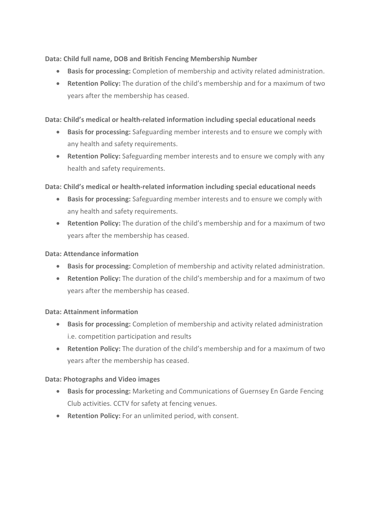#### **Data: Child full name, DOB and British Fencing Membership Number**

- **Basis for processing:** Completion of membership and activity related administration.
- **Retention Policy:** The duration of the child's membership and for a maximum of two years after the membership has ceased.

#### **Data: Child's medical or health-related information including special educational needs**

- **Basis for processing:** Safeguarding member interests and to ensure we comply with any health and safety requirements.
- **Retention Policy:** Safeguarding member interests and to ensure we comply with any health and safety requirements.

#### **Data: Child's medical or health-related information including special educational needs**

- **Basis for processing:** Safeguarding member interests and to ensure we comply with any health and safety requirements.
- **Retention Policy:** The duration of the child's membership and for a maximum of two years after the membership has ceased.

#### **Data: Attendance information**

- **Basis for processing:** Completion of membership and activity related administration.
- **Retention Policy:** The duration of the child's membership and for a maximum of two years after the membership has ceased.

#### **Data: Attainment information**

- **Basis for processing:** Completion of membership and activity related administration i.e. competition participation and results
- **Retention Policy:** The duration of the child's membership and for a maximum of two years after the membership has ceased.

#### **Data: Photographs and Video images**

- **Basis for processing:** Marketing and Communications of Guernsey En Garde Fencing Club activities. CCTV for safety at fencing venues.
- **Retention Policy:** For an unlimited period, with consent.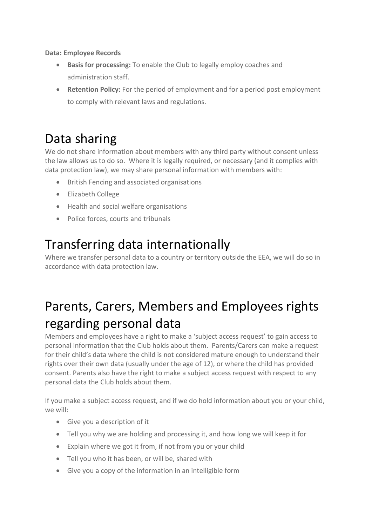**Data: Employee Records**

- **Basis for processing:** To enable the Club to legally employ coaches and administration staff.
- **Retention Policy:** For the period of employment and for a period post employment to comply with relevant laws and regulations.

## Data sharing

We do not share information about members with any third party without consent unless the law allows us to do so. Where it is legally required, or necessary (and it complies with data protection law), we may share personal information with members with:

- British Fencing and associated organisations
- Elizabeth College
- Health and social welfare organisations
- Police forces, courts and tribunals

### Transferring data internationally

Where we transfer personal data to a country or territory outside the EEA, we will do so in accordance with data protection law.

# Parents, Carers, Members and Employees rights regarding personal data

Members and employees have a right to make a 'subject access request' to gain access to personal information that the Club holds about them. Parents/Carers can make a request for their child's data where the child is not considered mature enough to understand their rights over their own data (usually under the age of 12), or where the child has provided consent. Parents also have the right to make a subject access request with respect to any personal data the Club holds about them.

If you make a subject access request, and if we do hold information about you or your child, we will:

- Give you a description of it
- Tell you why we are holding and processing it, and how long we will keep it for
- Explain where we got it from, if not from you or your child
- Tell you who it has been, or will be, shared with
- Give you a copy of the information in an intelligible form